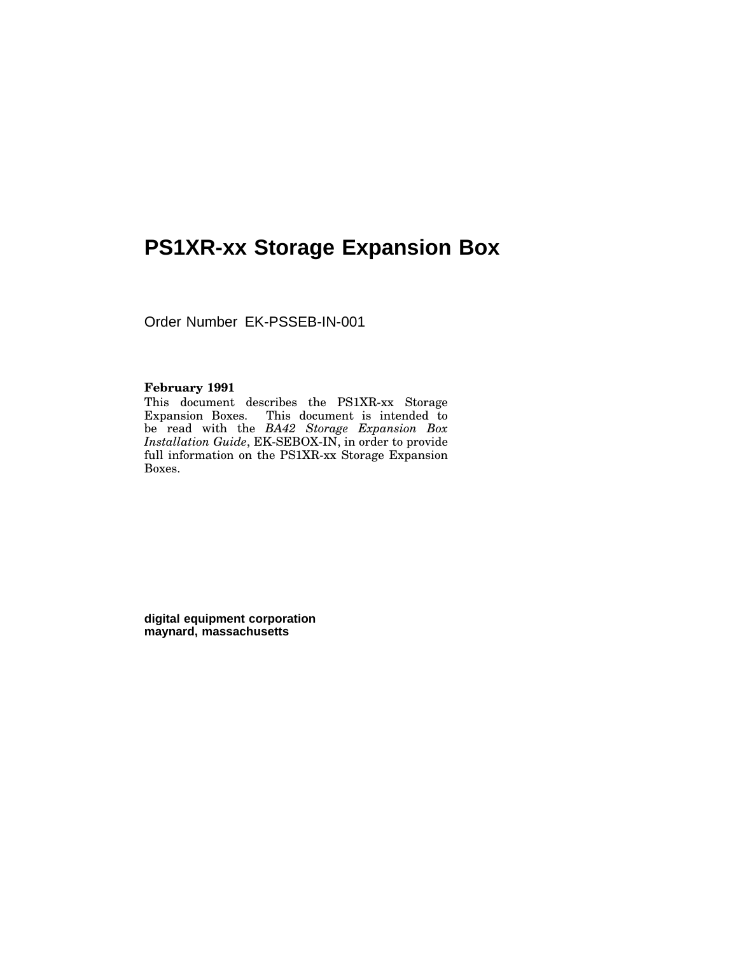# **PS1XR-xx Storage Expansion Box**

Order Number EK-PSSEB-IN-001

#### **February 1991**

This document describes the PS1XR-xx Storage Expansion Boxes. This document is intended to be read with the *BA42 Storage Expansion Box Installation Guide*, EK-SEBOX-IN, in order to provide full information on the PS1XR-xx Storage Expansion Boxes.

**digital equipment corporation maynard, massachusetts**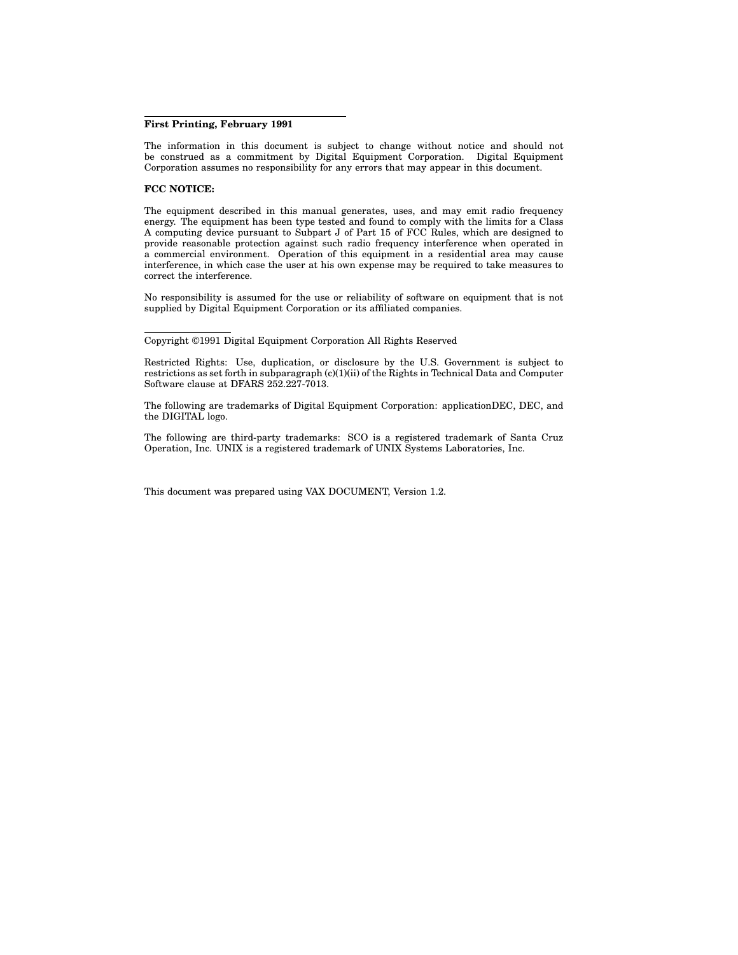#### **First Printing, February 1991**

The information in this document is subject to change without notice and should not be construed as a commitment by Digital Equipment Corporation. Digital Equipment Corporation assumes no responsibility for any errors that may appear in this document.

#### **FCC NOTICE:**

The equipment described in this manual generates, uses, and may emit radio frequency energy. The equipment has been type tested and found to comply with the limits for a Class A computing device pursuant to Subpart J of Part 15 of FCC Rules, which are designed to provide reasonable protection against such radio frequency interference when operated in a commercial environment. Operation of this equipment in a residential area may cause interference, in which case the user at his own expense may be required to take measures to correct the interference.

No responsibility is assumed for the use or reliability of software on equipment that is not supplied by Digital Equipment Corporation or its affiliated companies.

Copyright ©1991 Digital Equipment Corporation All Rights Reserved

Restricted Rights: Use, duplication, or disclosure by the U.S. Government is subject to restrictions as set forth in subparagraph (c)(1)(ii) of the Rights in Technical Data and Computer Software clause at DFARS 252.227-7013.

The following are trademarks of Digital Equipment Corporation: applicationDEC, DEC, and the DIGITAL logo.

The following are third-party trademarks: SCO is a registered trademark of Santa Cruz Operation, Inc. UNIX is a registered trademark of UNIX Systems Laboratories, Inc.

This document was prepared using VAX DOCUMENT, Version 1.2.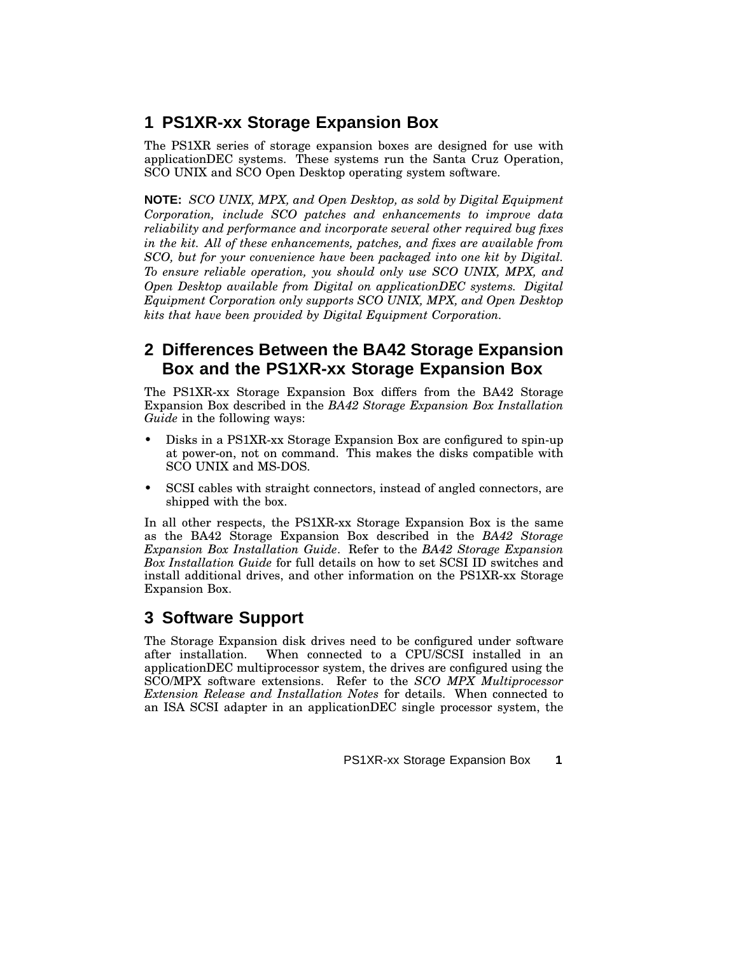## **1 PS1XR-xx Storage Expansion Box**

The PS1XR series of storage expansion boxes are designed for use with applicationDEC systems. These systems run the Santa Cruz Operation, SCO UNIX and SCO Open Desktop operating system software.

**NOTE:** *SCO UNIX, MPX, and Open Desktop, as sold by Digital Equipment Corporation, include SCO patches and enhancements to improve data reliability and performance and incorporate several other required bug fixes in the kit. All of these enhancements, patches, and fixes are available from SCO, but for your convenience have been packaged into one kit by Digital. To ensure reliable operation, you should only use SCO UNIX, MPX, and Open Desktop available from Digital on applicationDEC systems. Digital Equipment Corporation only supports SCO UNIX, MPX, and Open Desktop kits that have been provided by Digital Equipment Corporation.*

#### **2 Differences Between the BA42 Storage Expansion Box and the PS1XR-xx Storage Expansion Box**

The PS1XR-xx Storage Expansion Box differs from the BA42 Storage Expansion Box described in the *BA42 Storage Expansion Box Installation Guide* in the following ways:

- Disks in a PS1XR-xx Storage Expansion Box are configured to spin-up at power-on, not on command. This makes the disks compatible with SCO UNIX and MS-DOS.
- SCSI cables with straight connectors, instead of angled connectors, are shipped with the box.

In all other respects, the PS1XR-xx Storage Expansion Box is the same as the BA42 Storage Expansion Box described in the *BA42 Storage Expansion Box Installation Guide*. Refer to the *BA42 Storage Expansion Box Installation Guide* for full details on how to set SCSI ID switches and install additional drives, and other information on the PS1XR-xx Storage Expansion Box.

## **3 Software Support**

The Storage Expansion disk drives need to be configured under software after installation. When connected to a CPU/SCSI installed in an applicationDEC multiprocessor system, the drives are configured using the SCO/MPX software extensions. Refer to the *SCO MPX Multiprocessor Extension Release and Installation Notes* for details. When connected to an ISA SCSI adapter in an applicationDEC single processor system, the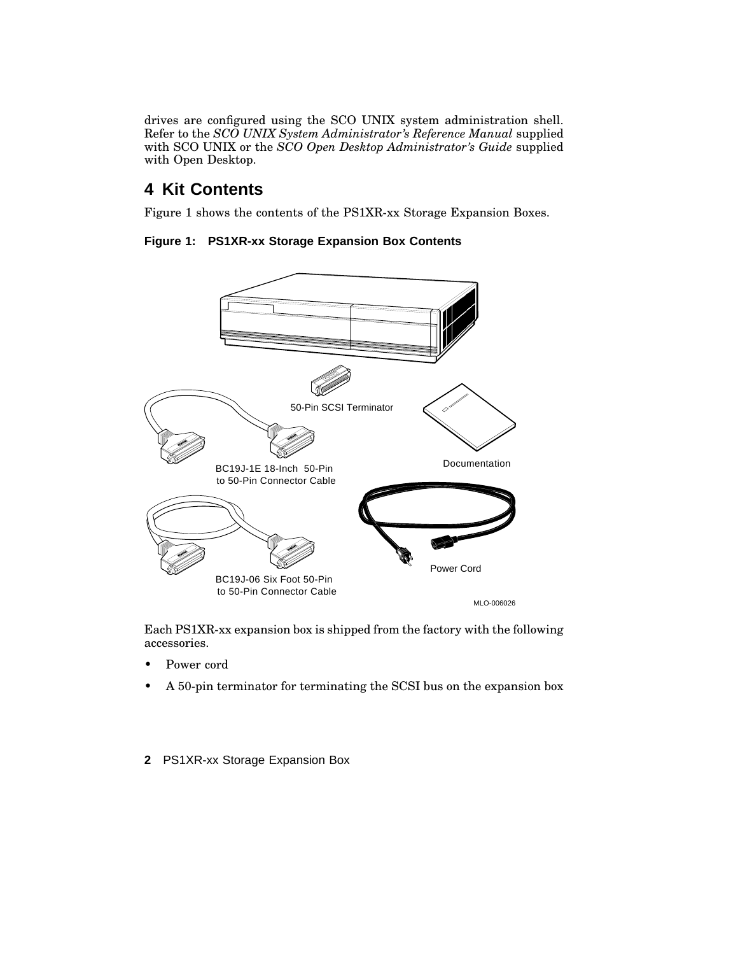drives are configured using the SCO UNIX system administration shell. Refer to the *SCO UNIX System Administrator's Reference Manual* supplied with SCO UNIX or the *SCO Open Desktop Administrator's Guide* supplied with Open Desktop.

#### **4 Kit Contents**

Figure 1 shows the contents of the PS1XR-xx Storage Expansion Boxes.

**Figure 1: PS1XR-xx Storage Expansion Box Contents**



Each PS1XR-xx expansion box is shipped from the factory with the following accessories.

- Power cord
- A 50-pin terminator for terminating the SCSI bus on the expansion box
- **2** PS1XR-xx Storage Expansion Box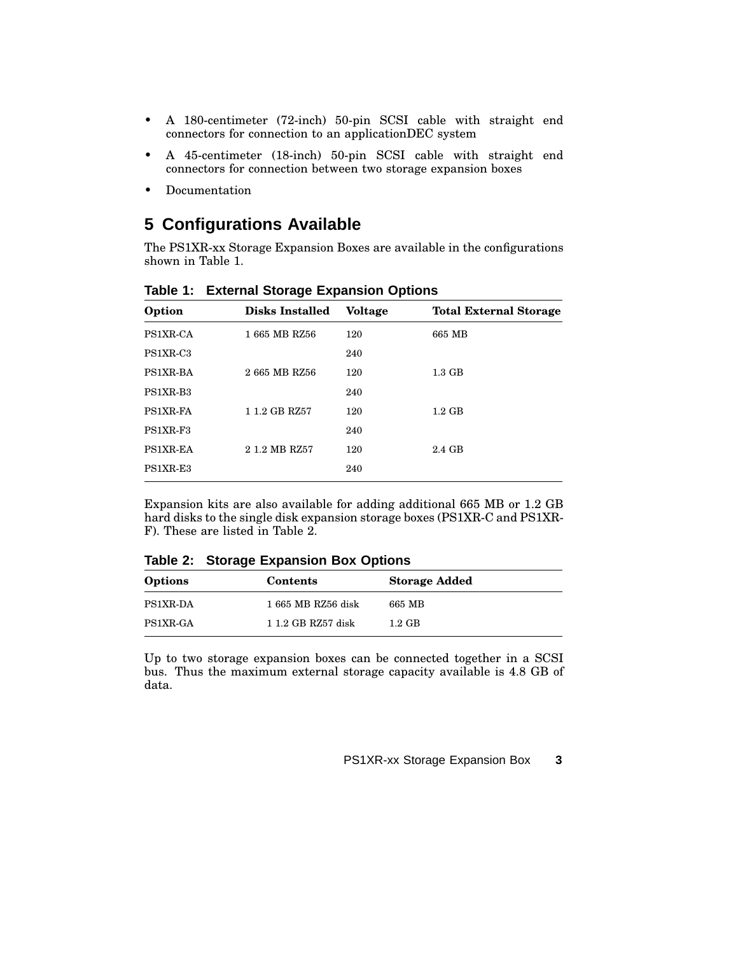- A 180-centimeter (72-inch) 50-pin SCSI cable with straight end connectors for connection to an applicationDEC system
- A 45-centimeter (18-inch) 50-pin SCSI cable with straight end connectors for connection between two storage expansion boxes
- Documentation

# **5 Configurations Available**

The PS1XR-xx Storage Expansion Boxes are available in the configurations shown in Table 1.

| Option               | <b>Disks Installed</b> | <b>Voltage</b> | <b>Total External Storage</b> |
|----------------------|------------------------|----------------|-------------------------------|
| PS1XR-CA             | 1 665 MB RZ56          | 120            | 665 MB                        |
| PS1XR-C3             |                        | 240            |                               |
| PS1XR-BA             | 2665 MB RZ56           | 120            | $1.3 \text{ GB}$              |
| PS1XR-B <sub>3</sub> |                        | 240            |                               |
| PS1XR-FA             | 1 1.2 GB RZ57          | 120            | $1.2 \text{ GB}$              |
| PS1XR-F3             |                        | 240            |                               |
| PS1XR-EA             | 2 1.2 MB RZ57          | 120            | 2.4 GB                        |
| PS1XR-E3             |                        | 240            |                               |

**Table 1: External Storage Expansion Options**

Expansion kits are also available for adding additional 665 MB or 1.2 GB hard disks to the single disk expansion storage boxes (PS1XR-C and PS1XR-F). These are listed in Table 2.

**Table 2: Storage Expansion Box Options**

| Options         | Contents           | <b>Storage Added</b> |
|-----------------|--------------------|----------------------|
| <b>PS1XR-DA</b> | 1 665 MB RZ56 disk | 665 MB               |
| PS1XR-GA        | 1 1.2 GB RZ57 disk | $1.2 \text{ GB}$     |

Up to two storage expansion boxes can be connected together in a SCSI bus. Thus the maximum external storage capacity available is 4.8 GB of data.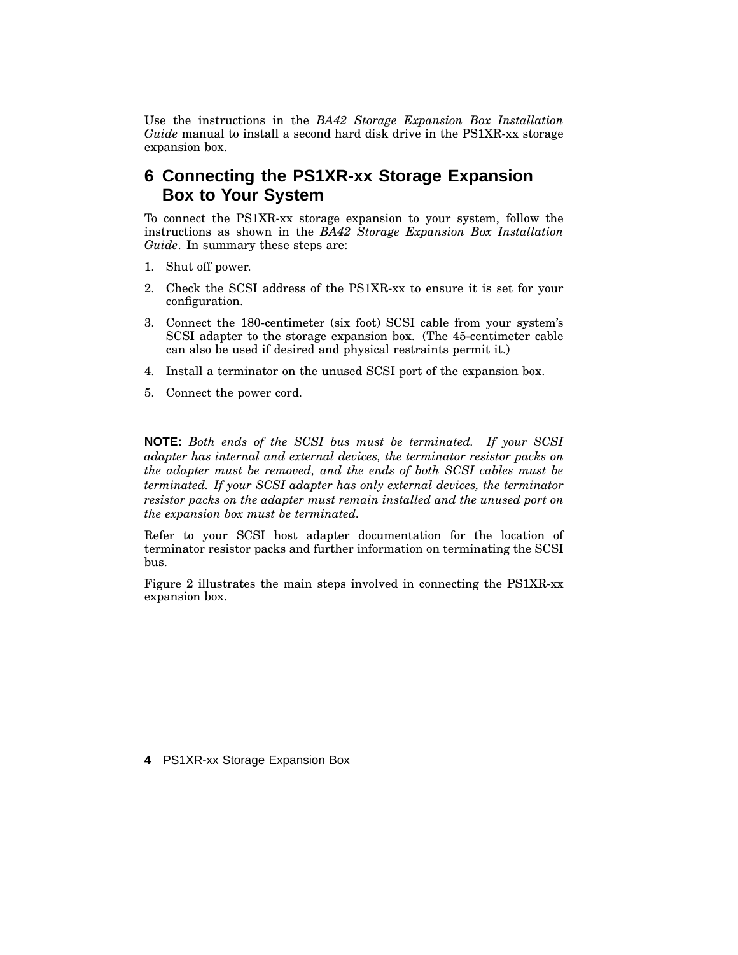Use the instructions in the *BA42 Storage Expansion Box Installation Guide* manual to install a second hard disk drive in the PS1XR-xx storage expansion box.

#### **6 Connecting the PS1XR-xx Storage Expansion Box to Your System**

To connect the PS1XR-xx storage expansion to your system, follow the instructions as shown in the *BA42 Storage Expansion Box Installation Guide*. In summary these steps are:

- 1. Shut off power.
- 2. Check the SCSI address of the PS1XR-xx to ensure it is set for your configuration.
- 3. Connect the 180-centimeter (six foot) SCSI cable from your system's SCSI adapter to the storage expansion box. (The 45-centimeter cable can also be used if desired and physical restraints permit it.)
- 4. Install a terminator on the unused SCSI port of the expansion box.
- 5. Connect the power cord.

**NOTE:** *Both ends of the SCSI bus must be terminated. If your SCSI adapter has internal and external devices, the terminator resistor packs on the adapter must be removed, and the ends of both SCSI cables must be terminated. If your SCSI adapter has only external devices, the terminator resistor packs on the adapter must remain installed and the unused port on the expansion box must be terminated.*

Refer to your SCSI host adapter documentation for the location of terminator resistor packs and further information on terminating the SCSI bus.

Figure 2 illustrates the main steps involved in connecting the PS1XR-xx expansion box.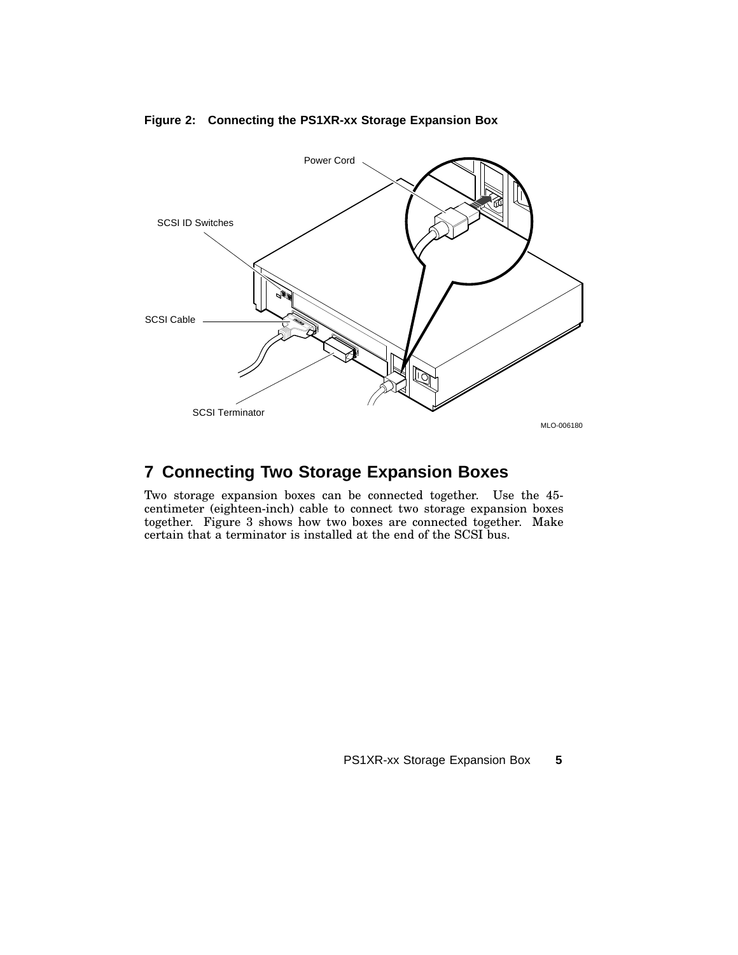

#### **Figure 2: Connecting the PS1XR-xx Storage Expansion Box**

### **7 Connecting Two Storage Expansion Boxes**

Two storage expansion boxes can be connected together. Use the 45 centimeter (eighteen-inch) cable to connect two storage expansion boxes together. Figure 3 shows how two boxes are connected together. Make certain that a terminator is installed at the end of the SCSI bus.